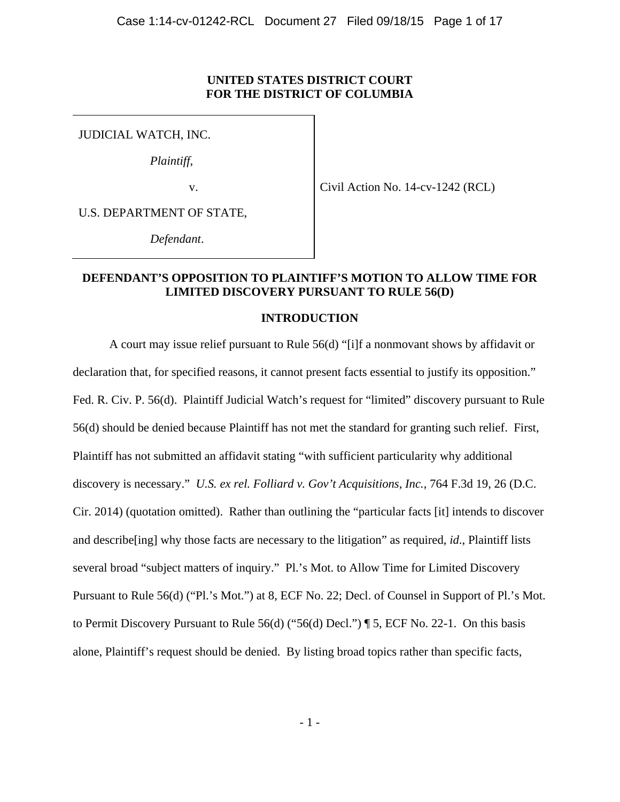## **UNITED STATES DISTRICT COURT FOR THE DISTRICT OF COLUMBIA**

JUDICIAL WATCH, INC.

*Plaintiff*,

v.

Civil Action No. 14-cv-1242 (RCL)

U.S. DEPARTMENT OF STATE,

*Defendant*.

## **DEFENDANT'S OPPOSITION TO PLAINTIFF'S MOTION TO ALLOW TIME FOR LIMITED DISCOVERY PURSUANT TO RULE 56(D)**

## **INTRODUCTION**

A court may issue relief pursuant to Rule 56(d) "[i]f a nonmovant shows by affidavit or declaration that, for specified reasons, it cannot present facts essential to justify its opposition." Fed. R. Civ. P. 56(d). Plaintiff Judicial Watch's request for "limited" discovery pursuant to Rule 56(d) should be denied because Plaintiff has not met the standard for granting such relief. First, Plaintiff has not submitted an affidavit stating "with sufficient particularity why additional discovery is necessary." *U.S. ex rel. Folliard v. Gov't Acquisitions, Inc.*, 764 F.3d 19, 26 (D.C. Cir. 2014) (quotation omitted). Rather than outlining the "particular facts [it] intends to discover and describe[ing] why those facts are necessary to the litigation" as required, *id*., Plaintiff lists several broad "subject matters of inquiry." Pl.'s Mot. to Allow Time for Limited Discovery Pursuant to Rule 56(d) ("Pl.'s Mot.") at 8, ECF No. 22; Decl. of Counsel in Support of Pl.'s Mot. to Permit Discovery Pursuant to Rule 56(d) ("56(d) Decl.") ¶ 5, ECF No. 22-1. On this basis alone, Plaintiff's request should be denied. By listing broad topics rather than specific facts,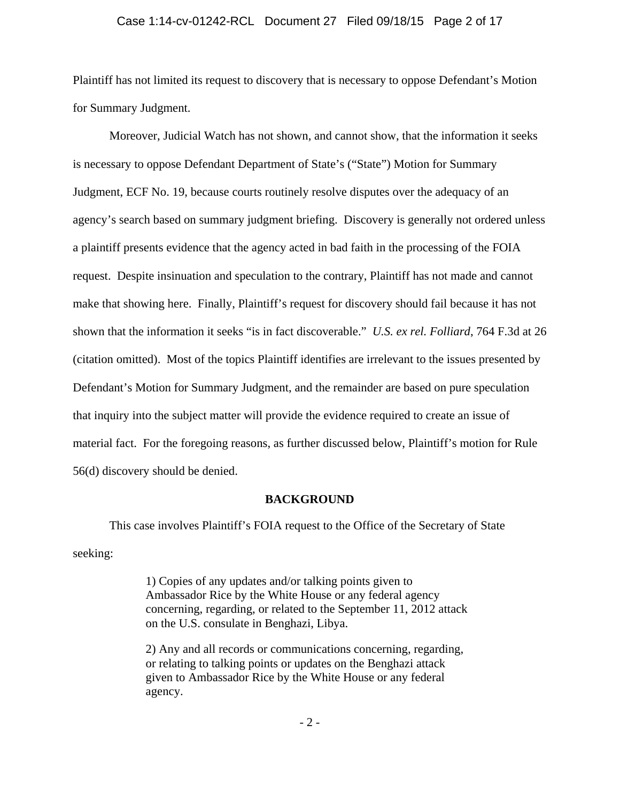#### Case 1:14-cv-01242-RCL Document 27 Filed 09/18/15 Page 2 of 17

Plaintiff has not limited its request to discovery that is necessary to oppose Defendant's Motion for Summary Judgment.

Moreover, Judicial Watch has not shown, and cannot show, that the information it seeks is necessary to oppose Defendant Department of State's ("State") Motion for Summary Judgment, ECF No. 19, because courts routinely resolve disputes over the adequacy of an agency's search based on summary judgment briefing. Discovery is generally not ordered unless a plaintiff presents evidence that the agency acted in bad faith in the processing of the FOIA request. Despite insinuation and speculation to the contrary, Plaintiff has not made and cannot make that showing here. Finally, Plaintiff's request for discovery should fail because it has not shown that the information it seeks "is in fact discoverable." *U.S. ex rel. Folliard*, 764 F.3d at 26 (citation omitted). Most of the topics Plaintiff identifies are irrelevant to the issues presented by Defendant's Motion for Summary Judgment, and the remainder are based on pure speculation that inquiry into the subject matter will provide the evidence required to create an issue of material fact. For the foregoing reasons, as further discussed below, Plaintiff's motion for Rule 56(d) discovery should be denied.

#### **BACKGROUND**

This case involves Plaintiff's FOIA request to the Office of the Secretary of State seeking:

> 1) Copies of any updates and/or talking points given to Ambassador Rice by the White House or any federal agency concerning, regarding, or related to the September 11, 2012 attack on the U.S. consulate in Benghazi, Libya.

2) Any and all records or communications concerning, regarding, or relating to talking points or updates on the Benghazi attack given to Ambassador Rice by the White House or any federal agency.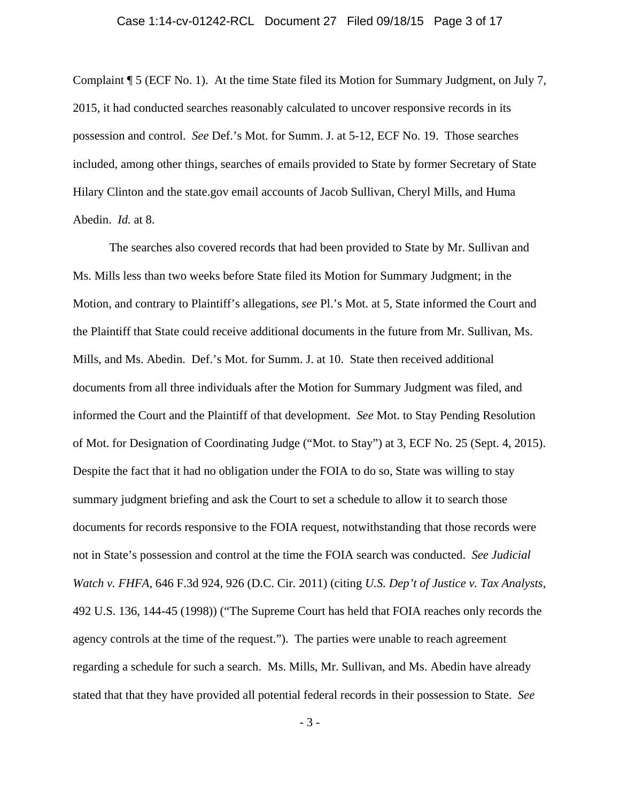#### Case 1:14-cv-01242-RCL Document 27 Filed 09/18/15 Page 3 of 17

Complaint ¶ 5 (ECF No. 1). At the time State filed its Motion for Summary Judgment, on July 7, 2015, it had conducted searches reasonably calculated to uncover responsive records in its possession and control. *See* Def.'s Mot. for Summ. J. at 5-12, ECF No. 19. Those searches included, among other things, searches of emails provided to State by former Secretary of State Hilary Clinton and the state.gov email accounts of Jacob Sullivan, Cheryl Mills, and Huma Abedin. *Id.* at 8.

The searches also covered records that had been provided to State by Mr. Sullivan and Ms. Mills less than two weeks before State filed its Motion for Summary Judgment; in the Motion, and contrary to Plaintiff's allegations, *see* Pl.'s Mot. at 5, State informed the Court and the Plaintiff that State could receive additional documents in the future from Mr. Sullivan, Ms. Mills, and Ms. Abedin. Def.'s Mot. for Summ. J. at 10. State then received additional documents from all three individuals after the Motion for Summary Judgment was filed, and informed the Court and the Plaintiff of that development. *See* Mot. to Stay Pending Resolution of Mot. for Designation of Coordinating Judge ("Mot. to Stay") at 3, ECF No. 25 (Sept. 4, 2015). Despite the fact that it had no obligation under the FOIA to do so, State was willing to stay summary judgment briefing and ask the Court to set a schedule to allow it to search those documents for records responsive to the FOIA request, notwithstanding that those records were not in State's possession and control at the time the FOIA search was conducted. *See Judicial Watch v. FHFA*, 646 F.3d 924, 926 (D.C. Cir. 2011) (citing *U.S. Dep't of Justice v. Tax Analysts*, 492 U.S. 136, 144-45 (1998)) ("The Supreme Court has held that FOIA reaches only records the agency controls at the time of the request."). The parties were unable to reach agreement regarding a schedule for such a search. Ms. Mills, Mr. Sullivan, and Ms. Abedin have already stated that that they have provided all potential federal records in their possession to State. *See* 

- 3 -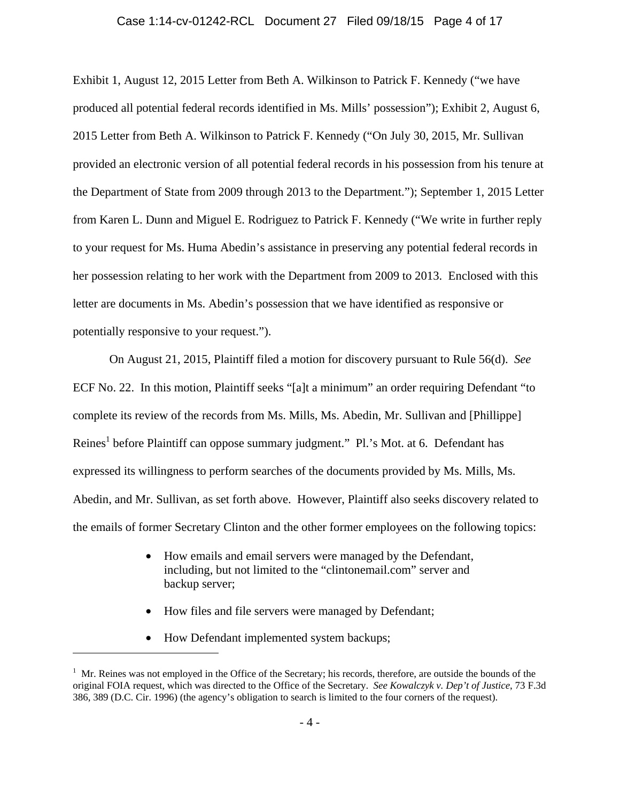#### Case 1:14-cv-01242-RCL Document 27 Filed 09/18/15 Page 4 of 17

Exhibit 1, August 12, 2015 Letter from Beth A. Wilkinson to Patrick F. Kennedy ("we have produced all potential federal records identified in Ms. Mills' possession"); Exhibit 2, August 6, 2015 Letter from Beth A. Wilkinson to Patrick F. Kennedy ("On July 30, 2015, Mr. Sullivan provided an electronic version of all potential federal records in his possession from his tenure at the Department of State from 2009 through 2013 to the Department."); September 1, 2015 Letter from Karen L. Dunn and Miguel E. Rodriguez to Patrick F. Kennedy ("We write in further reply to your request for Ms. Huma Abedin's assistance in preserving any potential federal records in her possession relating to her work with the Department from 2009 to 2013. Enclosed with this letter are documents in Ms. Abedin's possession that we have identified as responsive or potentially responsive to your request.").

On August 21, 2015, Plaintiff filed a motion for discovery pursuant to Rule 56(d). *See*  ECF No. 22. In this motion, Plaintiff seeks "[a]t a minimum" an order requiring Defendant "to complete its review of the records from Ms. Mills, Ms. Abedin, Mr. Sullivan and [Phillippe] Reines<sup>1</sup> before Plaintiff can oppose summary judgment." Pl.'s Mot. at 6. Defendant has expressed its willingness to perform searches of the documents provided by Ms. Mills, Ms. Abedin, and Mr. Sullivan, as set forth above. However, Plaintiff also seeks discovery related to the emails of former Secretary Clinton and the other former employees on the following topics:

- How emails and email servers were managed by the Defendant, including, but not limited to the "clintonemail.com" server and backup server;
- How files and file servers were managed by Defendant;
- How Defendant implemented system backups;

 $1$  Mr. Reines was not employed in the Office of the Secretary; his records, therefore, are outside the bounds of the original FOIA request, which was directed to the Office of the Secretary. *See Kowalczyk v. Dep't of Justice*, 73 F.3d 386, 389 (D.C. Cir. 1996) (the agency's obligation to search is limited to the four corners of the request).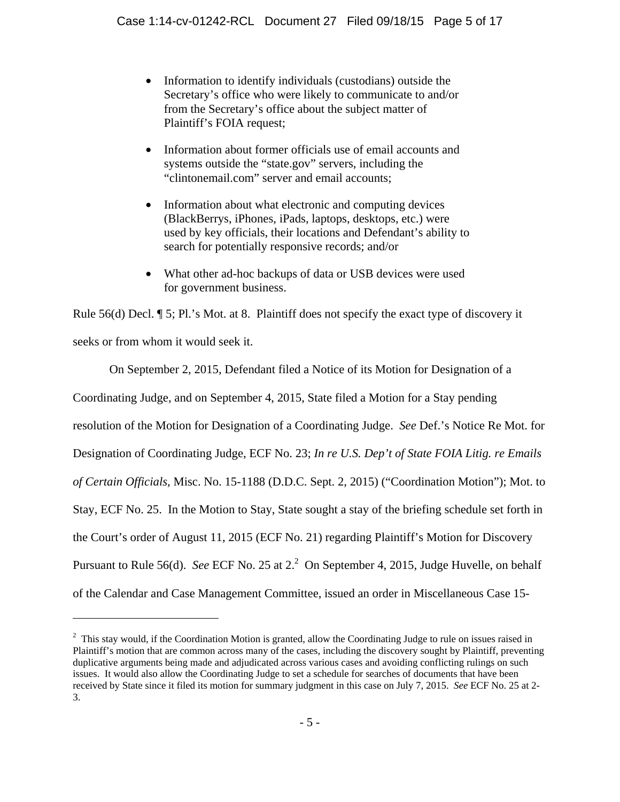- Information to identify individuals (custodians) outside the Secretary's office who were likely to communicate to and/or from the Secretary's office about the subject matter of Plaintiff's FOIA request;
- Information about former officials use of email accounts and systems outside the "state.gov" servers, including the "clintonemail.com" server and email accounts;
- Information about what electronic and computing devices (BlackBerrys, iPhones, iPads, laptops, desktops, etc.) were used by key officials, their locations and Defendant's ability to search for potentially responsive records; and/or
- What other ad-hoc backups of data or USB devices were used for government business.

Rule 56(d) Decl. ¶ 5; Pl.'s Mot. at 8. Plaintiff does not specify the exact type of discovery it seeks or from whom it would seek it.

On September 2, 2015, Defendant filed a Notice of its Motion for Designation of a Coordinating Judge, and on September 4, 2015, State filed a Motion for a Stay pending resolution of the Motion for Designation of a Coordinating Judge. *See* Def.'s Notice Re Mot. for Designation of Coordinating Judge, ECF No. 23; *In re U.S. Dep't of State FOIA Litig. re Emails of Certain Officials*, Misc. No. 15-1188 (D.D.C. Sept. 2, 2015) ("Coordination Motion"); Mot. to Stay, ECF No. 25. In the Motion to Stay, State sought a stay of the briefing schedule set forth in the Court's order of August 11, 2015 (ECF No. 21) regarding Plaintiff's Motion for Discovery Pursuant to Rule 56(d). See ECF No. 25 at 2.<sup>2</sup> On September 4, 2015, Judge Huvelle, on behalf of the Calendar and Case Management Committee, issued an order in Miscellaneous Case 15-

 $2$  This stay would, if the Coordination Motion is granted, allow the Coordinating Judge to rule on issues raised in Plaintiff's motion that are common across many of the cases, including the discovery sought by Plaintiff, preventing duplicative arguments being made and adjudicated across various cases and avoiding conflicting rulings on such issues. It would also allow the Coordinating Judge to set a schedule for searches of documents that have been received by State since it filed its motion for summary judgment in this case on July 7, 2015. *See* ECF No. 25 at 2- 3.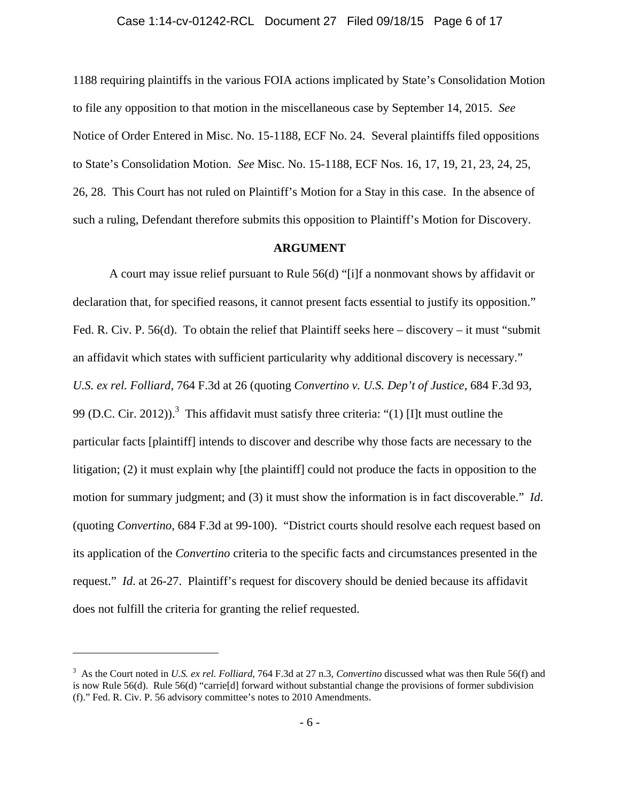# Case 1:14-cv-01242-RCL Document 27 Filed 09/18/15 Page 6 of 17

1188 requiring plaintiffs in the various FOIA actions implicated by State's Consolidation Motion to file any opposition to that motion in the miscellaneous case by September 14, 2015. *See* Notice of Order Entered in Misc. No. 15-1188, ECF No. 24. Several plaintiffs filed oppositions to State's Consolidation Motion. *See* Misc. No. 15-1188, ECF Nos. 16, 17, 19, 21, 23, 24, 25, 26, 28. This Court has not ruled on Plaintiff's Motion for a Stay in this case. In the absence of such a ruling, Defendant therefore submits this opposition to Plaintiff's Motion for Discovery.

#### **ARGUMENT**

A court may issue relief pursuant to Rule 56(d) "[i]f a nonmovant shows by affidavit or declaration that, for specified reasons, it cannot present facts essential to justify its opposition." Fed. R. Civ. P. 56(d). To obtain the relief that Plaintiff seeks here – discovery – it must "submit an affidavit which states with sufficient particularity why additional discovery is necessary." *U.S. ex rel. Folliard*, 764 F.3d at 26 (quoting *Convertino v. U.S. Dep't of Justice*, 684 F.3d 93, 99 (D.C. Cir. 2012)).<sup>3</sup> This affidavit must satisfy three criteria: "(1) [I]t must outline the particular facts [plaintiff] intends to discover and describe why those facts are necessary to the litigation; (2) it must explain why [the plaintiff] could not produce the facts in opposition to the motion for summary judgment; and (3) it must show the information is in fact discoverable." *Id*. (quoting *Convertino*, 684 F.3d at 99-100). "District courts should resolve each request based on its application of the *Convertino* criteria to the specific facts and circumstances presented in the request." *Id*. at 26-27. Plaintiff's request for discovery should be denied because its affidavit does not fulfill the criteria for granting the relief requested.

<sup>3</sup> As the Court noted in *U.S. ex rel. Folliard*, 764 F.3d at 27 n.3, *Convertino* discussed what was then Rule 56(f) and is now Rule 56(d). Rule 56(d) "carrie[d] forward without substantial change the provisions of former subdivision (f)." Fed. R. Civ. P. 56 advisory committee's notes to 2010 Amendments.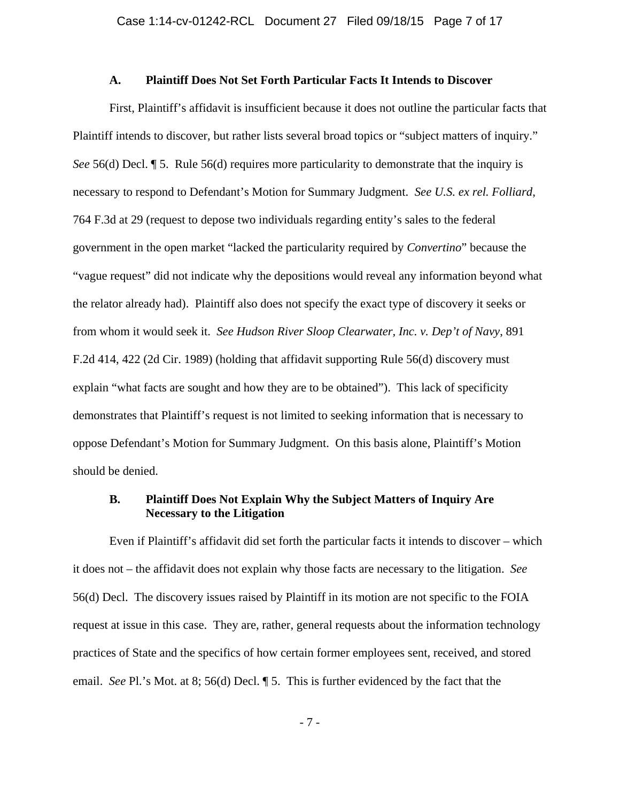#### **A. Plaintiff Does Not Set Forth Particular Facts It Intends to Discover**

First, Plaintiff's affidavit is insufficient because it does not outline the particular facts that Plaintiff intends to discover, but rather lists several broad topics or "subject matters of inquiry." *See* 56(d) Decl. **[5.** Rule 56(d) requires more particularity to demonstrate that the inquiry is necessary to respond to Defendant's Motion for Summary Judgment. *See U.S. ex rel. Folliard*, 764 F.3d at 29 (request to depose two individuals regarding entity's sales to the federal government in the open market "lacked the particularity required by *Convertino*" because the "vague request" did not indicate why the depositions would reveal any information beyond what the relator already had). Plaintiff also does not specify the exact type of discovery it seeks or from whom it would seek it. *See Hudson River Sloop Clearwater, Inc. v. Dep't of Navy*, 891 F.2d 414, 422 (2d Cir. 1989) (holding that affidavit supporting Rule 56(d) discovery must explain "what facts are sought and how they are to be obtained"). This lack of specificity demonstrates that Plaintiff's request is not limited to seeking information that is necessary to oppose Defendant's Motion for Summary Judgment. On this basis alone, Plaintiff's Motion should be denied.

## **B. Plaintiff Does Not Explain Why the Subject Matters of Inquiry Are Necessary to the Litigation**

Even if Plaintiff's affidavit did set forth the particular facts it intends to discover – which it does not – the affidavit does not explain why those facts are necessary to the litigation. *See* 56(d) Decl. The discovery issues raised by Plaintiff in its motion are not specific to the FOIA request at issue in this case. They are, rather, general requests about the information technology practices of State and the specifics of how certain former employees sent, received, and stored email. *See* Pl.'s Mot. at 8; 56(d) Decl. ¶ 5. This is further evidenced by the fact that the

- 7 -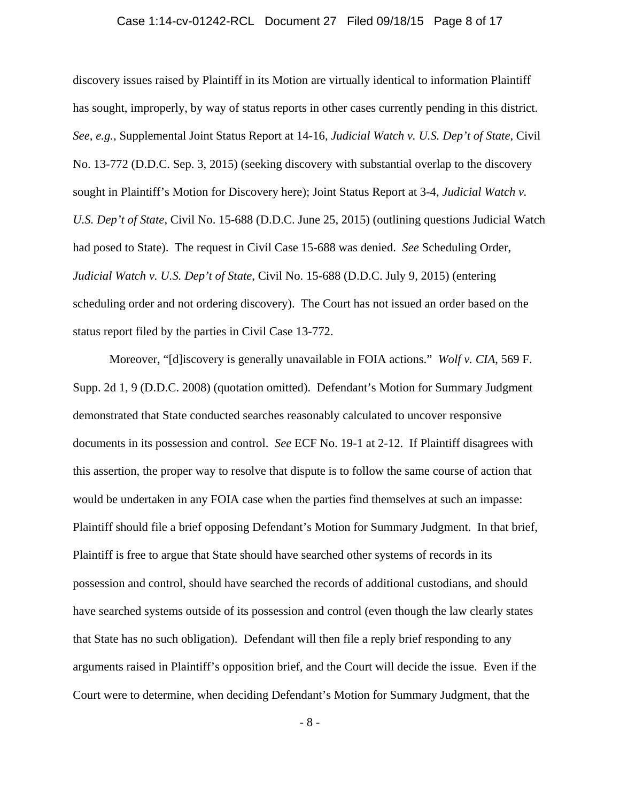#### Case 1:14-cv-01242-RCL Document 27 Filed 09/18/15 Page 8 of 17

discovery issues raised by Plaintiff in its Motion are virtually identical to information Plaintiff has sought, improperly, by way of status reports in other cases currently pending in this district. *See, e.g.*, Supplemental Joint Status Report at 14-16, *Judicial Watch v. U.S. Dep't of State*, Civil No. 13-772 (D.D.C. Sep. 3, 2015) (seeking discovery with substantial overlap to the discovery sought in Plaintiff's Motion for Discovery here); Joint Status Report at 3-4, *Judicial Watch v. U.S. Dep't of State*, Civil No. 15-688 (D.D.C. June 25, 2015) (outlining questions Judicial Watch had posed to State). The request in Civil Case 15-688 was denied. *See* Scheduling Order, *Judicial Watch v. U.S. Dep't of State*, Civil No. 15-688 (D.D.C. July 9, 2015) (entering scheduling order and not ordering discovery). The Court has not issued an order based on the status report filed by the parties in Civil Case 13-772.

Moreover, "[d]iscovery is generally unavailable in FOIA actions." *Wolf v. CIA*, 569 F. Supp. 2d 1, 9 (D.D.C. 2008) (quotation omitted). Defendant's Motion for Summary Judgment demonstrated that State conducted searches reasonably calculated to uncover responsive documents in its possession and control. *See* ECF No. 19-1 at 2-12. If Plaintiff disagrees with this assertion, the proper way to resolve that dispute is to follow the same course of action that would be undertaken in any FOIA case when the parties find themselves at such an impasse: Plaintiff should file a brief opposing Defendant's Motion for Summary Judgment. In that brief, Plaintiff is free to argue that State should have searched other systems of records in its possession and control, should have searched the records of additional custodians, and should have searched systems outside of its possession and control (even though the law clearly states that State has no such obligation). Defendant will then file a reply brief responding to any arguments raised in Plaintiff's opposition brief, and the Court will decide the issue. Even if the Court were to determine, when deciding Defendant's Motion for Summary Judgment, that the

- 8 -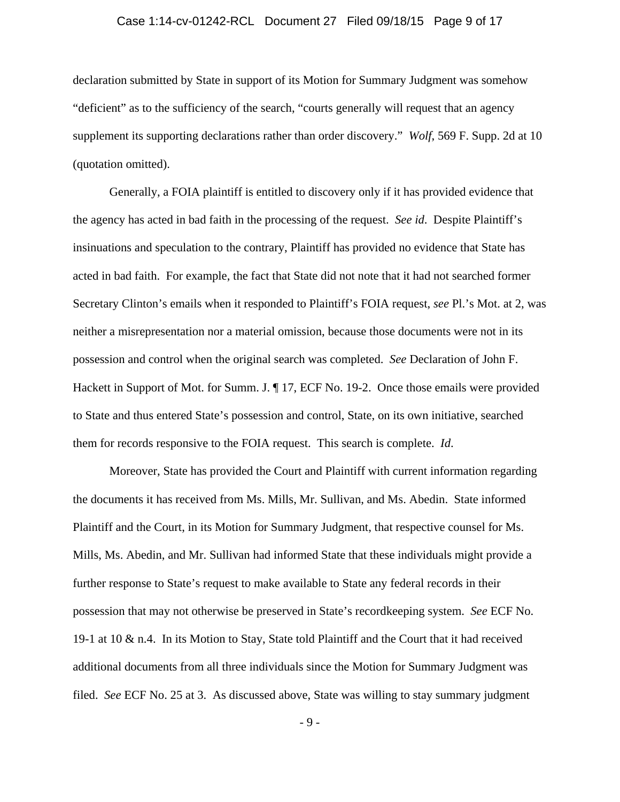#### Case 1:14-cv-01242-RCL Document 27 Filed 09/18/15 Page 9 of 17

declaration submitted by State in support of its Motion for Summary Judgment was somehow "deficient" as to the sufficiency of the search, "courts generally will request that an agency supplement its supporting declarations rather than order discovery." *Wolf*, 569 F. Supp. 2d at 10 (quotation omitted).

Generally, a FOIA plaintiff is entitled to discovery only if it has provided evidence that the agency has acted in bad faith in the processing of the request. *See id*. Despite Plaintiff's insinuations and speculation to the contrary, Plaintiff has provided no evidence that State has acted in bad faith. For example, the fact that State did not note that it had not searched former Secretary Clinton's emails when it responded to Plaintiff's FOIA request, *see* Pl.'s Mot. at 2, was neither a misrepresentation nor a material omission, because those documents were not in its possession and control when the original search was completed. *See* Declaration of John F. Hackett in Support of Mot. for Summ. J. ¶ 17, ECF No. 19-2. Once those emails were provided to State and thus entered State's possession and control, State, on its own initiative, searched them for records responsive to the FOIA request. This search is complete. *Id*.

Moreover, State has provided the Court and Plaintiff with current information regarding the documents it has received from Ms. Mills, Mr. Sullivan, and Ms. Abedin. State informed Plaintiff and the Court, in its Motion for Summary Judgment, that respective counsel for Ms. Mills, Ms. Abedin, and Mr. Sullivan had informed State that these individuals might provide a further response to State's request to make available to State any federal records in their possession that may not otherwise be preserved in State's recordkeeping system. *See* ECF No. 19-1 at 10 & n.4. In its Motion to Stay, State told Plaintiff and the Court that it had received additional documents from all three individuals since the Motion for Summary Judgment was filed. *See* ECF No. 25 at 3. As discussed above, State was willing to stay summary judgment

- 9 -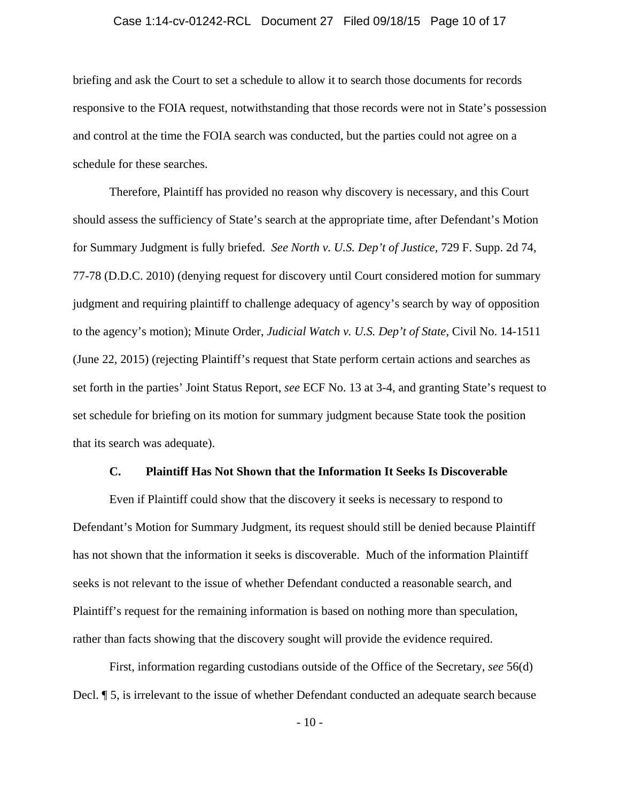## Case 1:14-cv-01242-RCL Document 27 Filed 09/18/15 Page 10 of 17

briefing and ask the Court to set a schedule to allow it to search those documents for records responsive to the FOIA request, notwithstanding that those records were not in State's possession and control at the time the FOIA search was conducted, but the parties could not agree on a schedule for these searches.

Therefore, Plaintiff has provided no reason why discovery is necessary, and this Court should assess the sufficiency of State's search at the appropriate time, after Defendant's Motion for Summary Judgment is fully briefed. *See North v. U.S. Dep't of Justice*, 729 F. Supp. 2d 74, 77-78 (D.D.C. 2010) (denying request for discovery until Court considered motion for summary judgment and requiring plaintiff to challenge adequacy of agency's search by way of opposition to the agency's motion); Minute Order, *Judicial Watch v. U.S. Dep't of State*, Civil No. 14-1511 (June 22, 2015) (rejecting Plaintiff's request that State perform certain actions and searches as set forth in the parties' Joint Status Report, *see* ECF No. 13 at 3-4, and granting State's request to set schedule for briefing on its motion for summary judgment because State took the position that its search was adequate).

#### **C. Plaintiff Has Not Shown that the Information It Seeks Is Discoverable**

Even if Plaintiff could show that the discovery it seeks is necessary to respond to Defendant's Motion for Summary Judgment, its request should still be denied because Plaintiff has not shown that the information it seeks is discoverable. Much of the information Plaintiff seeks is not relevant to the issue of whether Defendant conducted a reasonable search, and Plaintiff's request for the remaining information is based on nothing more than speculation, rather than facts showing that the discovery sought will provide the evidence required.

First, information regarding custodians outside of the Office of the Secretary, *see* 56(d) Decl. ¶ 5, is irrelevant to the issue of whether Defendant conducted an adequate search because

 $-10-$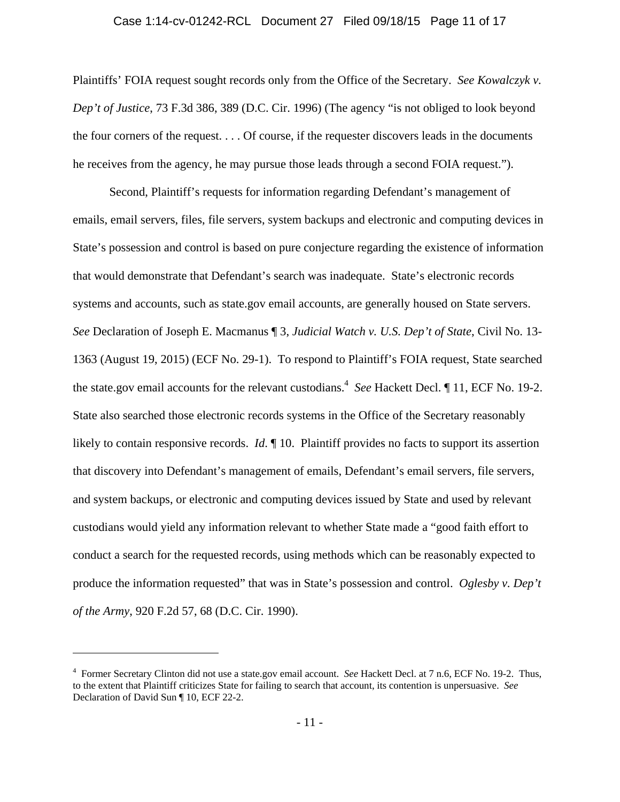# Case 1:14-cv-01242-RCL Document 27 Filed 09/18/15 Page 11 of 17

Plaintiffs' FOIA request sought records only from the Office of the Secretary. *See Kowalczyk v. Dep't of Justice*, 73 F.3d 386, 389 (D.C. Cir. 1996) (The agency "is not obliged to look beyond the four corners of the request. . . . Of course, if the requester discovers leads in the documents he receives from the agency, he may pursue those leads through a second FOIA request.").

Second, Plaintiff's requests for information regarding Defendant's management of emails, email servers, files, file servers, system backups and electronic and computing devices in State's possession and control is based on pure conjecture regarding the existence of information that would demonstrate that Defendant's search was inadequate. State's electronic records systems and accounts, such as state.gov email accounts, are generally housed on State servers. *See* Declaration of Joseph E. Macmanus ¶ 3, *Judicial Watch v. U.S. Dep't of State*, Civil No. 13- 1363 (August 19, 2015) (ECF No. 29-1). To respond to Plaintiff's FOIA request, State searched the state.gov email accounts for the relevant custodians.<sup>4</sup> See Hackett Decl. 1 11, ECF No. 19-2. State also searched those electronic records systems in the Office of the Secretary reasonably likely to contain responsive records. *Id*. 10. Plaintiff provides no facts to support its assertion that discovery into Defendant's management of emails, Defendant's email servers, file servers, and system backups, or electronic and computing devices issued by State and used by relevant custodians would yield any information relevant to whether State made a "good faith effort to conduct a search for the requested records, using methods which can be reasonably expected to produce the information requested" that was in State's possession and control. *Oglesby v. Dep't of the Army*, 920 F.2d 57, 68 (D.C. Cir. 1990).

<sup>4</sup> Former Secretary Clinton did not use a state.gov email account. *See* Hackett Decl. at 7 n.6, ECF No. 19-2. Thus, to the extent that Plaintiff criticizes State for failing to search that account, its contention is unpersuasive. *See* Declaration of David Sun ¶ 10, ECF 22-2.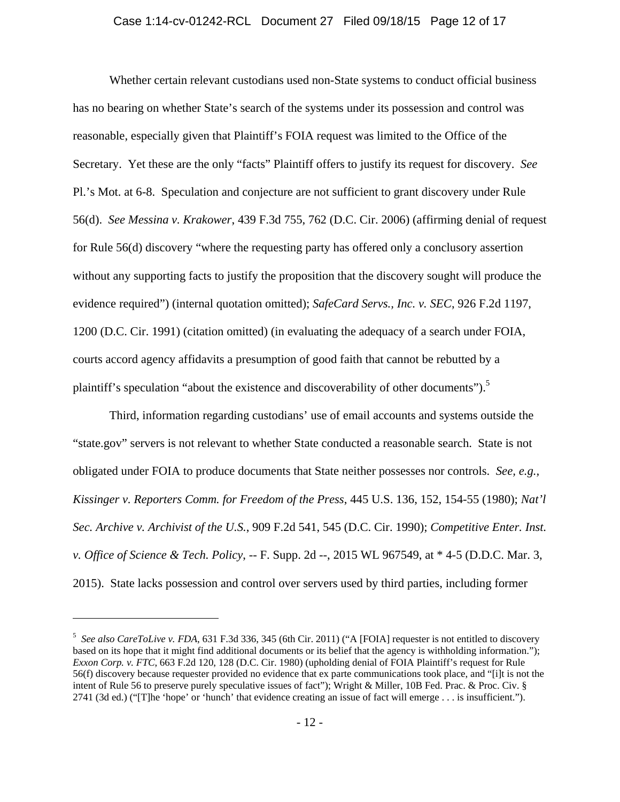## Case 1:14-cv-01242-RCL Document 27 Filed 09/18/15 Page 12 of 17

Whether certain relevant custodians used non-State systems to conduct official business has no bearing on whether State's search of the systems under its possession and control was reasonable, especially given that Plaintiff's FOIA request was limited to the Office of the Secretary. Yet these are the only "facts" Plaintiff offers to justify its request for discovery. *See*  Pl.'s Mot. at 6-8. Speculation and conjecture are not sufficient to grant discovery under Rule 56(d). *See Messina v. Krakower*, 439 F.3d 755, 762 (D.C. Cir. 2006) (affirming denial of request for Rule 56(d) discovery "where the requesting party has offered only a conclusory assertion without any supporting facts to justify the proposition that the discovery sought will produce the evidence required") (internal quotation omitted); *SafeCard Servs., Inc. v. SEC*, 926 F.2d 1197, 1200 (D.C. Cir. 1991) (citation omitted) (in evaluating the adequacy of a search under FOIA, courts accord agency affidavits a presumption of good faith that cannot be rebutted by a plaintiff's speculation "about the existence and discoverability of other documents").<sup>5</sup>

Third, information regarding custodians' use of email accounts and systems outside the "state.gov" servers is not relevant to whether State conducted a reasonable search. State is not obligated under FOIA to produce documents that State neither possesses nor controls. *See, e.g., Kissinger v. Reporters Comm. for Freedom of the Press*, 445 U.S. 136, 152, 154-55 (1980); *Nat'l Sec. Archive v. Archivist of the U.S.*, 909 F.2d 541, 545 (D.C. Cir. 1990); *Competitive Enter. Inst. v. Office of Science & Tech. Policy*, -- F. Supp. 2d --, 2015 WL 967549, at \* 4-5 (D.D.C. Mar. 3, 2015). State lacks possession and control over servers used by third parties, including former

<sup>&</sup>lt;sup>5</sup> See also CareToLive v. FDA, 631 F.3d 336, 345 (6th Cir. 2011) ("A [FOIA] requester is not entitled to discovery based on its hope that it might find additional documents or its belief that the agency is withholding information."); *Exxon Corp. v. FTC*, 663 F.2d 120, 128 (D.C. Cir. 1980) (upholding denial of FOIA Plaintiff's request for Rule 56(f) discovery because requester provided no evidence that ex parte communications took place, and "[i]t is not the intent of Rule 56 to preserve purely speculative issues of fact"); Wright & Miller, 10B Fed. Prac. & Proc. Civ. § 2741 (3d ed.) ("[T]he 'hope' or 'hunch' that evidence creating an issue of fact will emerge . . . is insufficient.").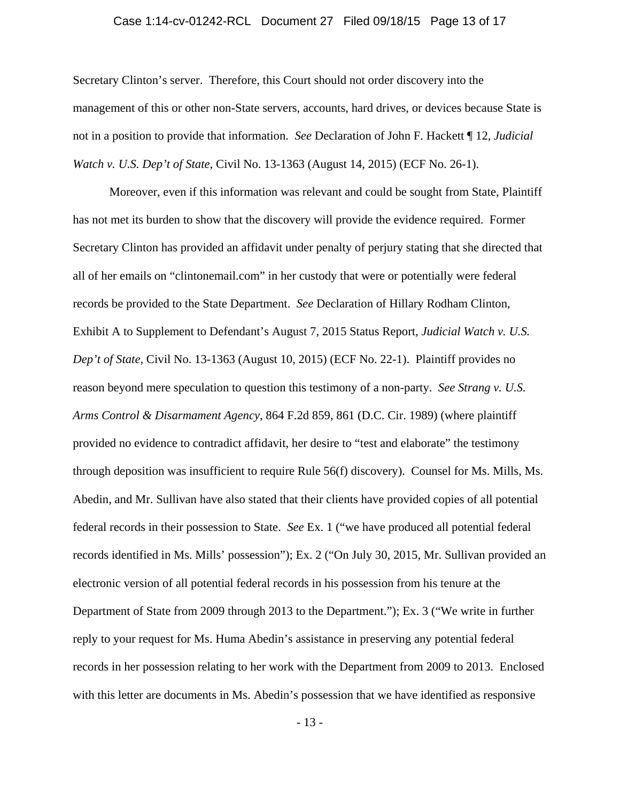## Case 1:14-cv-01242-RCL Document 27 Filed 09/18/15 Page 13 of 17

Secretary Clinton's server. Therefore, this Court should not order discovery into the management of this or other non-State servers, accounts, hard drives, or devices because State is not in a position to provide that information. *See* Declaration of John F. Hackett ¶ 12, *Judicial Watch v. U.S. Dep't of State*, Civil No. 13-1363 (August 14, 2015) (ECF No. 26-1).

Moreover, even if this information was relevant and could be sought from State, Plaintiff has not met its burden to show that the discovery will provide the evidence required. Former Secretary Clinton has provided an affidavit under penalty of perjury stating that she directed that all of her emails on "clintonemail.com" in her custody that were or potentially were federal records be provided to the State Department. *See* Declaration of Hillary Rodham Clinton, Exhibit A to Supplement to Defendant's August 7, 2015 Status Report, *Judicial Watch v. U.S. Dep't of State*, Civil No. 13-1363 (August 10, 2015) (ECF No. 22-1). Plaintiff provides no reason beyond mere speculation to question this testimony of a non-party. *See Strang v. U.S. Arms Control & Disarmament Agency*, 864 F.2d 859, 861 (D.C. Cir. 1989) (where plaintiff provided no evidence to contradict affidavit, her desire to "test and elaborate" the testimony through deposition was insufficient to require Rule 56(f) discovery). Counsel for Ms. Mills, Ms. Abedin, and Mr. Sullivan have also stated that their clients have provided copies of all potential federal records in their possession to State. *See* Ex. 1 ("we have produced all potential federal records identified in Ms. Mills' possession"); Ex. 2 ("On July 30, 2015, Mr. Sullivan provided an electronic version of all potential federal records in his possession from his tenure at the Department of State from 2009 through 2013 to the Department."); Ex. 3 ("We write in further reply to your request for Ms. Huma Abedin's assistance in preserving any potential federal records in her possession relating to her work with the Department from 2009 to 2013. Enclosed with this letter are documents in Ms. Abedin's possession that we have identified as responsive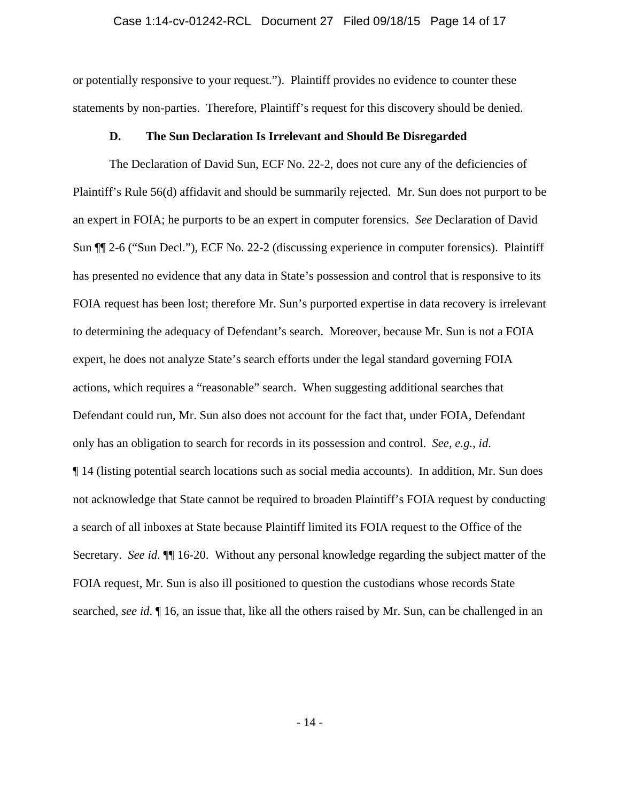## Case 1:14-cv-01242-RCL Document 27 Filed 09/18/15 Page 14 of 17

or potentially responsive to your request."). Plaintiff provides no evidence to counter these statements by non-parties. Therefore, Plaintiff's request for this discovery should be denied.

#### **D. The Sun Declaration Is Irrelevant and Should Be Disregarded**

The Declaration of David Sun, ECF No. 22-2, does not cure any of the deficiencies of Plaintiff's Rule 56(d) affidavit and should be summarily rejected. Mr. Sun does not purport to be an expert in FOIA; he purports to be an expert in computer forensics. *See* Declaration of David Sun ¶¶ 2-6 ("Sun Decl."), ECF No. 22-2 (discussing experience in computer forensics). Plaintiff has presented no evidence that any data in State's possession and control that is responsive to its FOIA request has been lost; therefore Mr. Sun's purported expertise in data recovery is irrelevant to determining the adequacy of Defendant's search. Moreover, because Mr. Sun is not a FOIA expert, he does not analyze State's search efforts under the legal standard governing FOIA actions, which requires a "reasonable" search. When suggesting additional searches that Defendant could run, Mr. Sun also does not account for the fact that, under FOIA, Defendant only has an obligation to search for records in its possession and control. *See, e.g.*, *id*. ¶ 14 (listing potential search locations such as social media accounts). In addition, Mr. Sun does not acknowledge that State cannot be required to broaden Plaintiff's FOIA request by conducting a search of all inboxes at State because Plaintiff limited its FOIA request to the Office of the Secretary. *See id*. ¶¶ 16-20. Without any personal knowledge regarding the subject matter of the FOIA request, Mr. Sun is also ill positioned to question the custodians whose records State searched, *see id*. ¶ 16, an issue that, like all the others raised by Mr. Sun, can be challenged in an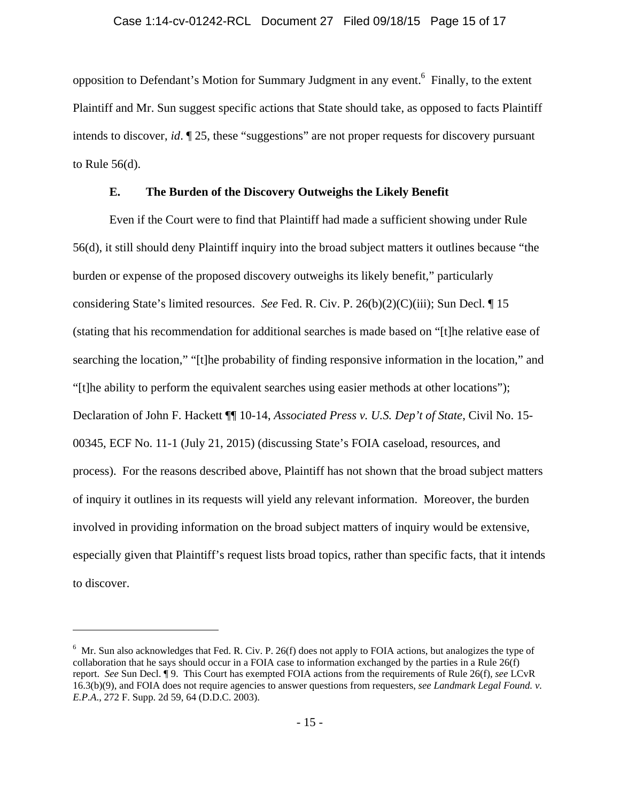opposition to Defendant's Motion for Summary Judgment in any event.<sup>6</sup> Finally, to the extent Plaintiff and Mr. Sun suggest specific actions that State should take, as opposed to facts Plaintiff intends to discover, *id*. ¶ 25, these "suggestions" are not proper requests for discovery pursuant to Rule 56(d).

### **E. The Burden of the Discovery Outweighs the Likely Benefit**

Even if the Court were to find that Plaintiff had made a sufficient showing under Rule 56(d), it still should deny Plaintiff inquiry into the broad subject matters it outlines because "the burden or expense of the proposed discovery outweighs its likely benefit," particularly considering State's limited resources. *See* Fed. R. Civ. P. 26(b)(2)(C)(iii); Sun Decl. ¶ 15 (stating that his recommendation for additional searches is made based on "[t]he relative ease of searching the location," "[t]he probability of finding responsive information in the location," and "[t]he ability to perform the equivalent searches using easier methods at other locations"); Declaration of John F. Hackett ¶¶ 10-14, *Associated Press v. U.S. Dep't of State*, Civil No. 15- 00345, ECF No. 11-1 (July 21, 2015) (discussing State's FOIA caseload, resources, and process). For the reasons described above, Plaintiff has not shown that the broad subject matters of inquiry it outlines in its requests will yield any relevant information. Moreover, the burden involved in providing information on the broad subject matters of inquiry would be extensive, especially given that Plaintiff's request lists broad topics, rather than specific facts, that it intends to discover.

 $6$  Mr. Sun also acknowledges that Fed. R. Civ. P. 26(f) does not apply to FOIA actions, but analogizes the type of collaboration that he says should occur in a FOIA case to information exchanged by the parties in a Rule 26(f) report. *See* Sun Decl. ¶ 9. This Court has exempted FOIA actions from the requirements of Rule 26(f), *see* LCvR 16.3(b)(9), and FOIA does not require agencies to answer questions from requesters, *see Landmark Legal Found. v. E.P.A*., 272 F. Supp. 2d 59, 64 (D.D.C. 2003).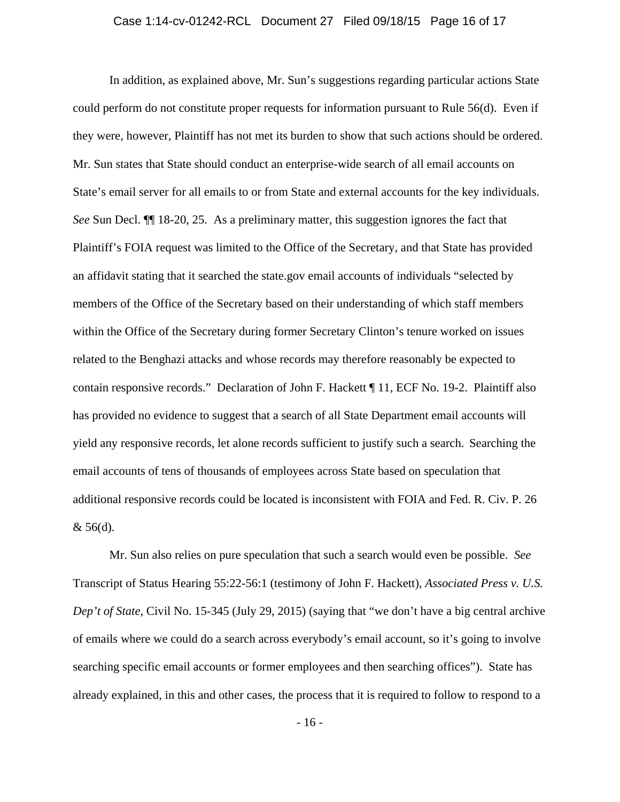## Case 1:14-cv-01242-RCL Document 27 Filed 09/18/15 Page 16 of 17

In addition, as explained above, Mr. Sun's suggestions regarding particular actions State could perform do not constitute proper requests for information pursuant to Rule 56(d). Even if they were, however, Plaintiff has not met its burden to show that such actions should be ordered. Mr. Sun states that State should conduct an enterprise-wide search of all email accounts on State's email server for all emails to or from State and external accounts for the key individuals. *See* Sun Decl. ¶¶ 18-20, 25. As a preliminary matter, this suggestion ignores the fact that Plaintiff's FOIA request was limited to the Office of the Secretary, and that State has provided an affidavit stating that it searched the state.gov email accounts of individuals "selected by members of the Office of the Secretary based on their understanding of which staff members within the Office of the Secretary during former Secretary Clinton's tenure worked on issues related to the Benghazi attacks and whose records may therefore reasonably be expected to contain responsive records." Declaration of John F. Hackett ¶ 11, ECF No. 19-2. Plaintiff also has provided no evidence to suggest that a search of all State Department email accounts will yield any responsive records, let alone records sufficient to justify such a search. Searching the email accounts of tens of thousands of employees across State based on speculation that additional responsive records could be located is inconsistent with FOIA and Fed. R. Civ. P. 26  $& 56(d)$ .

Mr. Sun also relies on pure speculation that such a search would even be possible. *See*  Transcript of Status Hearing 55:22-56:1 (testimony of John F. Hackett), *Associated Press v. U.S. Dep't of State*, Civil No. 15-345 (July 29, 2015) (saying that "we don't have a big central archive of emails where we could do a search across everybody's email account, so it's going to involve searching specific email accounts or former employees and then searching offices"). State has already explained, in this and other cases, the process that it is required to follow to respond to a